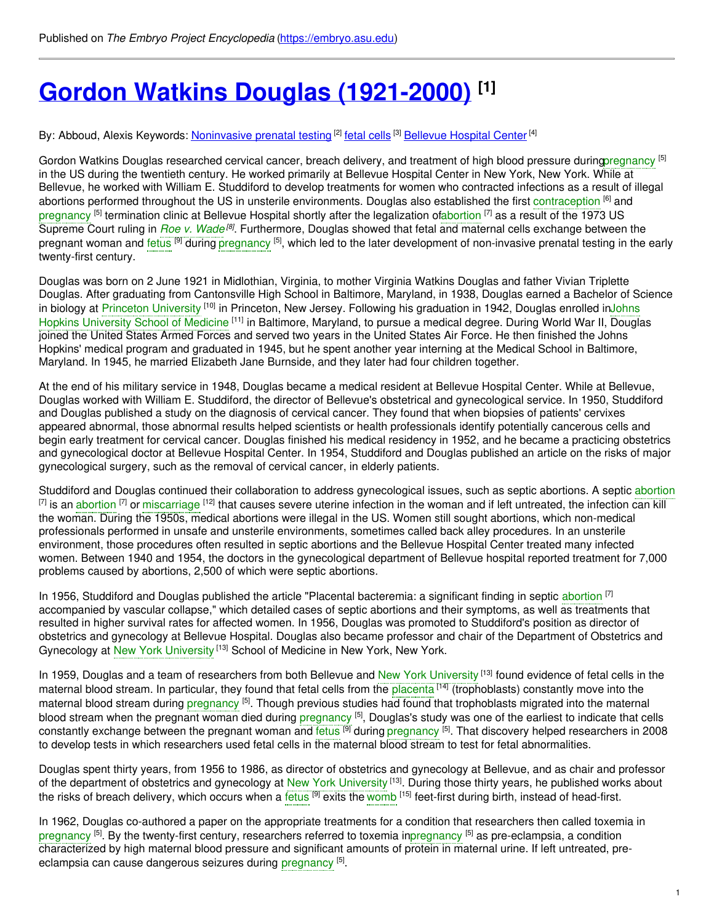# **Gordon Watkins Douglas [\(1921-2000\)](https://embryo.asu.edu/pages/gordon-watkins-douglas-1921-2000) [1]**

By: Abboud, Alexis Keywords: <u>[Noninvasive](https://embryo.asu.edu/keywords/noninvasive-prenatal-testing) prenatal testing</u> <sup>[2]</sup> <u>fetal [cells](https://embryo.asu.edu/keywords/fetal-cells)</u> [3] <u>[Bellevue](https://embryo.asu.edu/keywords/bellevue-hospital-center) Hospital Center</u> [4]

Gordon Watkins Douglas researched cervical cancer, breach delivery, and treatment of high blood pressure durin[gpregnancy](https://embryo.asu.edu/search?text=pregnancy) <sup>[5]</sup> in the US during the twentieth century. He worked primarily at Bellevue Hospital Center in New York, New York. While at Bellevue, he worked with William E. Studdiford to develop treatments for women who contracted infections as a result of illegal abortions performed throughout the US in unsterile environments. Douglas also established the first [contraception](https://embryo.asu.edu/search?text=contraception) <sup>[6]</sup> and [pregnancy](https://embryo.asu.edu/search?text=pregnancy) <sup>[5]</sup> termination clinic at Bellevue Hospital shortly after the legalization o[fabortion](https://embryo.asu.edu/search?text=abortion) <sup>[7]</sup> as a result of the 1973 US Supreme Court ruling in *Roe v. [Wade](https://embryo.asu.edu/search?text=Roe%20v.%20Wade)<sup>[8]</sup>*. Furthermore, Douglas showed that fetal and maternal cells exchange between the pregnant woman and [fetus](https://embryo.asu.edu/search?text=fetus) <sup>[9]</sup> during [pregnancy](https://embryo.asu.edu/search?text=pregnancy) <sup>[5]</sup>, which led to the later development of non-invasive prenatal testing in the early twenty-first century.

Douglas was born on 2 June 1921 in Midlothian, Virginia, to mother Virginia Watkins Douglas and father Vivian Triplette Douglas. After graduating from Cantonsville High School in Baltimore, Maryland, in 1938, Douglas earned a Bachelor of Science in biology at <mark>Princet</mark>on [University](https://embryo.asu.edu/search?text=Princeton%20University) <sup>[10]</sup> in Princeton, New Jersey. Following his [graduation](https://embryo.asu.edu/search?text=Johns%20Hopkins%20University%20School%20of%20Medicine) in 1942, Douglas enrolled inJohns Hopkins University School of Medicine <sup>[11]</sup> in Baltimore, Maryland, to pursue a medical degree. During World War II, Douglas joined the United States Armed Forces and served two years in the United States Air Force. He then finished the Johns Hopkins' medical program and graduated in 1945, but he spent another year interning at the Medical School in Baltimore, Maryland. In 1945, he married Elizabeth Jane Burnside, and they later had four children together.

At the end of his military service in 1948, Douglas became a medical resident at Bellevue Hospital Center. While at Bellevue, Douglas worked with William E. Studdiford, the director of Bellevue's obstetrical and gynecological service. In 1950, Studdiford and Douglas published a study on the diagnosis of cervical cancer. They found that when biopsies of patients' cervixes appeared abnormal, those abnormal results helped scientists or health professionals identify potentially cancerous cells and begin early treatment for cervical cancer. Douglas finished his medical residency in 1952, and he became a practicing obstetrics and gynecological doctor at Bellevue Hospital Center. In 1954, Studdiford and Douglas published an article on the risks of major gynecological surgery, such as the removal of cervical cancer, in elderly patients.

Studdiford and Douglas continued their collaboration to address gynecological issues, such as septic [abortion](https://embryo.asu.edu/search?text=abortion)s. A septic abortion  $^{[7]}$  is an [abortion](https://embryo.asu.edu/search?text=abortion)  $^{[7]}$  or [miscarriage](https://embryo.asu.edu/search?text=miscarriage)  $^{[12]}$  that causes severe uterine infection in the woman and if left untreated, the infection can kill the woman. During the 1950s, medical abortions were illegal in the US. Women still sought abortions, which non-medical professionals performed in unsafe and unsterile environments, sometimes called back alley procedures. In an unsterile environment, those procedures often resulted in septic abortions and the Bellevue Hospital Center treated many infected women. Between 1940 and 1954, the doctors in the gynecological department of Bellevue hospital reported treatment for 7,000 problems caused by abortions, 2,500 of which were septic abortions.

In 1956, Studdiford and Douglas published the article "Placental bacteremia: a significant finding in septic [abortion](https://embryo.asu.edu/search?text=abortion) <sup>[7]</sup> accompanied by vascular collapse," which detailed cases of septic abortions and their symptoms, as well as treatments that resulted in higher survival rates for affected women. In 1956, Douglas was promoted to Studdiford's position as director of obstetrics and gynecology at Bellevue Hospital. Douglas also became professor and chair of the Department of Obstetrics and Gynecology at New York [University](https://embryo.asu.edu/search?text=New%20York%20University) <sup>[13]</sup> School of Medicine in New York, New York.

In 1959, Douglas and a team of researchers from both Bellevue and New York [University](https://embryo.asu.edu/search?text=New%20York%20University)<sup>[13]</sup> found evidence of fetal cells in the maternal blood stream. In particular, they found that fetal cells from the [placenta](https://embryo.asu.edu/search?text=placenta) <sup>[14]</sup> (trophoblasts) constantly move into the maternal blood stream during [pregnancy](https://embryo.asu.edu/search?text=pregnancy) <sup>[5]</sup>. Though previous studies had found that trophoblasts migrated into the maternal blood stream when the pregnant woman died during <mark>[pregnancy](https://embryo.asu.edu/search?text=pregnancy) <sup>[5]</sup>, Douglas's study was one of the earliest to indicate that cells</mark> constantly exchange between the pregnant woman and [fetus](https://embryo.asu.edu/search?text=fetus) <sup>[9]</sup> during [pregnancy](https://embryo.asu.edu/search?text=pregnancy) <sup>[5]</sup>. That discovery helped researchers in 2008 to develop tests in which researchers used fetal cells in the maternal blood stream to test for fetal abnormalities.

Douglas spent thirty years, from 1956 to 1986, as director of obstetrics and gynecology at Bellevue, and as chair and professor of the department of obstetrics and gynecology at New York [University](https://embryo.asu.edu/search?text=New%20York%20University) <sup>[13]</sup>. During those thirty years, he published works about the risks of breach delivery, which occurs when a [fetus](https://embryo.asu.edu/search?text=fetus) <sup>[9]</sup> exits the [womb](https://embryo.asu.edu/search?text=womb) <sup>[15]</sup> feet-first during birth, instead of head-first.

In 1962, Douglas co-authored a paper on the appropriate treatments for a condition that researchers then called toxemia in [pregnancy](https://embryo.asu.edu/search?text=pregnancy) <sup>[5]</sup>. By the twenty-first century, researchers referred to toxemia i[npregnancy](https://embryo.asu.edu/search?text=pregnancy) <sup>[5]</sup> as pre-eclampsia, a condition characterized by high maternal blood pressure and significant amounts of protein in maternal urine. If left untreated, preeclampsia can cause dangerous seizures during [pregnancy](https://embryo.asu.edu/search?text=pregnancy) [5].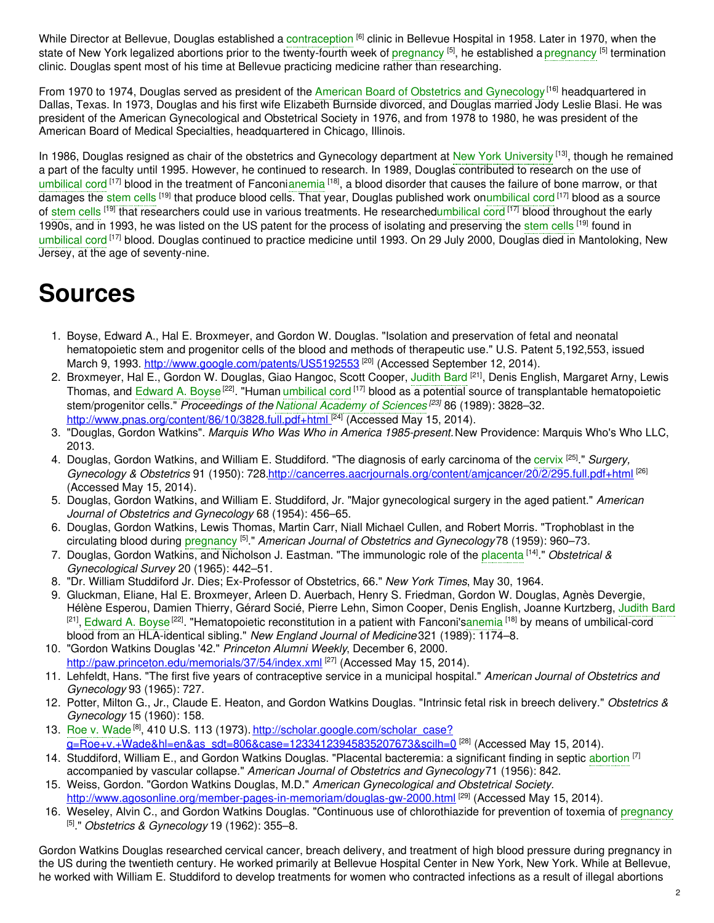While Director at Bellevue, Douglas established a [contraception](https://embryo.asu.edu/search?text=contraception) <sup>[6]</sup> clinic in Bellevue Hospital in 1958. Later in 1970, when the state of New York legalized abortions prior to the twenty-fourth week of <mark>[pregnancy](https://embryo.asu.edu/search?text=pregnancy) <sup>[5]</sup>, he established a pregnancy <sup>[5]</sup> termination</mark> clinic. Douglas spent most of his time at Bellevue practicing medicine rather than researching.

From 1970 to 1974, Douglas served as president of the American Board of Obstetrics and [Gynecology](https://embryo.asu.edu/search?text=American%20Board%20of%20Obstetrics%20and%20Gynecology)<sup>[16]</sup> headquartered in Dallas, Texas. In 1973, Douglas and his first wife Elizabeth Burnside divorced, and Douglas married Jody Leslie Blasi. He was president of the American Gynecological and Obstetrical Society in 1976, and from 1978 to 1980, he was president of the American Board of Medical Specialties, headquartered in Chicago, Illinois.

In 1986, Douglas resigned as chair of the obstetrics and Gynecology department at New York [University](https://embryo.asu.edu/search?text=New%20York%20University) [13], though he remained a part of the faculty until 1995. However, he continued to research. In 1989, Douglas contributed to research on the use of [umbilical](https://embryo.asu.edu/search?text=umbilical%20cord) cord <sup>[17]</sup> blood in the treatment of Fanconi[anemia](https://embryo.asu.edu/search?text=anemia) <sup>[18]</sup>, a blood disorder that causes the failure of bone marrow, or that damages the [stem](https://embryo.asu.edu/search?text=stem%20cells) cells <sup>[19]</sup> that produce blood cells. That year, Douglas published work on[umbilical](https://embryo.asu.edu/search?text=umbilical%20cord) cord <sup>[17]</sup> blood as a source of [stem](https://embryo.asu.edu/search?text=stem%20cells) cells <sup>[19]</sup> that researchers could use in various treatments. He researche[dumbilical](https://embryo.asu.edu/search?text=umbilical%20cord) cord <sup>[17]</sup> blood throughout the early 1990s, and in 1993, he was listed on the US patent for the process of isolating and preserving the [stem](https://embryo.asu.edu/search?text=stem%20cells) cells <sup>[19]</sup> found in [umbilical](https://embryo.asu.edu/search?text=umbilical%20cord) cord<sup>[17]</sup> blood. Douglas continued to practice medicine until 1993. On 29 July 2000, Douglas died in Mantoloking, New Jersey, at the age of seventy-nine.

## **Sources**

- 1. Boyse, Edward A., Hal E. Broxmeyer, and Gordon W. Douglas. "Isolation and preservation of fetal and neonatal hematopoietic stem and progenitor cells of the blood and methods of therapeutic use." U.S. Patent 5,192,553, issued March 9, 1993. <http://www.google.com/patents/US5192553> <sup>[20]</sup> (Accessed September 12, 2014).
- 2. Broxmeyer, Hal E., Gordon W. Douglas, Giao Hangoc, Scott Cooper, [Judith](https://embryo.asu.edu/search?text=Judith%20Bard) Bard <sup>[21]</sup>, Denis English, Margaret Arny, Lewis Thomas, and [Edward](https://embryo.asu.edu/search?text=Edward%20A.%20Boyse) A. Boyse<sup>[22]</sup>. "Human [umbilical](https://embryo.asu.edu/search?text=umbilical%20cord) cord <sup>[17]</sup> blood as a potential source of transplantable hematopoietic stem/progenitor cells." *Proceedings of the National [Academy](https://embryo.asu.edu/search?text=National%20Academy%20of%20Sciences) of Sciences [23]* 86 (1989): 3828–32. <http://www.pnas.org/content/86/10/3828.full.pdf+html><sup>[24]</sup> (Accessed May 15, 2014).
- 3. "Douglas, Gordon Watkins". *Marquis Who Was Who in America 1985-present.*New Providence: Marquis Who's Who LLC, 2013.
- 4. Douglas, Gordon Watkins, and William E. Studdiford. "The diagnosis of early carcinoma of the [cervix](https://embryo.asu.edu/search?text=cervix) [25] ." *Surgery, Gynecology & Obstetrics* 91 (1950): 728[.http://cancerres.aacrjournals.org/content/amjcancer/20/2/295.full.pdf+html](https://cancerres.aacrjournals.org/content/amjcancer/20/2/295.full.pdf+html) [26] (Accessed May 15, 2014).
- 5. Douglas, Gordon Watkins, and William E. Studdiford, Jr. "Major gynecological surgery in the aged patient." *American Journal of Obstetrics and Gynecology* 68 (1954): 456–65.
- 6. Douglas, Gordon Watkins, Lewis Thomas, Martin Carr, Niall Michael Cullen, and Robert Morris. "Trophoblast in the circulating blood during [pregnancy](https://embryo.asu.edu/search?text=pregnancy) [5] ." *American Journal of Obstetrics and Gynecology*78 (1959): 960–73.
- 7. Douglas, Gordon Watkins, and Nicholson J. Eastman. "The immunologic role of the [placenta](https://embryo.asu.edu/search?text=placenta) [14] ." *Obstetrical & Gynecological Survey* 20 (1965): 442–51.
- 8. "Dr. William Studdiford Jr. Dies; Ex-Professor of Obstetrics, 66." *New York Times*, May 30, 1964.
- 9. Gluckman, Eliane, Hal E. Broxmeyer, Arleen D. Auerbach, Henry S. Friedman, Gordon W. Douglas, Agnès Devergie, Hélène Esperou, Damien Thierry, Gérard Socié, Pierre Lehn, Simon Cooper, Denis English, Joanne Kurtzberg, [Judith](https://embryo.asu.edu/search?text=Judith%20Bard) Bard <sup>[21]</sup>, [Edward](https://embryo.asu.edu/search?text=Edward%20A.%20Boyse) A. Boyse<sup>[22]</sup>. "Hematopoietic reconstitution in a patient with Fanconi's[anemia](https://embryo.asu.edu/search?text=anemia) <sup>[18]</sup> by means of umbilical-cord blood from an HLA-identical sibling." *New England Journal of Medicine* 321 (1989): 1174–8.
- 10. "Gordon Watkins Douglas '42." *Princeton Alumni Weekly*, December 6, 2000. [http://paw.princeton.edu/memorials/37/54/index.xml](https://paw.princeton.edu/memorials/37/54/index.xml) <sup>[27]</sup> (Accessed May 15, 2014).
- 11. Lehfeldt, Hans. "The first five years of contraceptive service in a municipal hospital." *American Journal of Obstetrics and Gynecology* 93 (1965): 727.
- 12. Potter, Milton G., Jr., Claude E. Heaton, and Gordon Watkins Douglas. "Intrinsic fetal risk in breech delivery." *Obstetrics & Gynecology* 15 (1960): 158.
- 13. Roe v. [Wade](https://embryo.asu.edu/search?text=Roe%20v.%20Wade)<sup>[8]</sup>, 410 U.S. 113 (1973). http://scholar.google.com/scholar\_case? <u>[q=Roe+v.+Wade&hl=en&as\\_sdt=806&case=12334123945835207673&scilh=0](https://scholar.google.com/scholar_case?q=Roe+v.+Wade&hl=en&as_sdt=806&case=12334123945835207673&scilh=0)</u> <sup>[28]</sup> (Accessed May 15, 2014).
- 14. Studdiford, William E., and Gordon Watkins Douglas. "Placental bacteremia: a significant finding in septic [abortion](https://embryo.asu.edu/search?text=abortion) [7] accompanied by vascular collapse." *American Journal of Obstetrics and Gynecology*71 (1956): 842.
- 15. Weiss, Gordon. "Gordon Watkins Douglas, M.D." *American Gynecological and Obstetrical Society.* <http://www.agosonline.org/member-pages-in-memoriam/douglas-gw-2000.html> <sup>[29]</sup> (Accessed May 15, 2014).
- 16. Weseley, Alvin C., and Gordon Watkins Douglas. "Continuous use of chlorothiazide for prevention of toxemia of [pregnancy](https://embryo.asu.edu/search?text=pregnancy) [5] ." *Obstetrics & Gynecology* 19 (1962): 355–8.

Gordon Watkins Douglas researched cervical cancer, breach delivery, and treatment of high blood pressure during pregnancy in the US during the twentieth century. He worked primarily at Bellevue Hospital Center in New York, New York. While at Bellevue, he worked with William E. Studdiford to develop treatments for women who contracted infections as a result of illegal abortions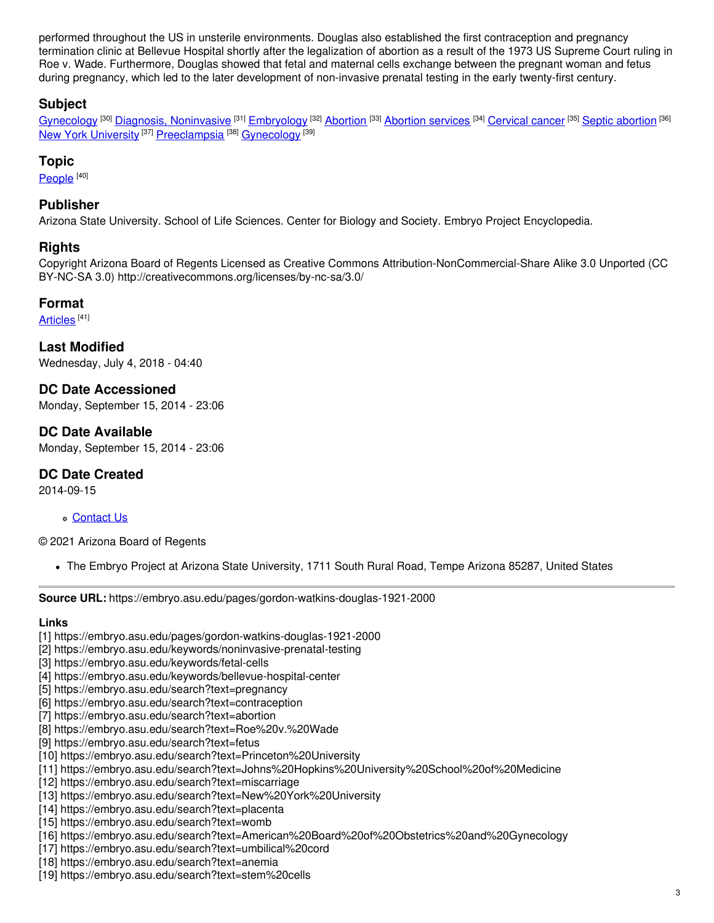performed throughout the US in unsterile environments. Douglas also established the first contraception and pregnancy termination clinic at Bellevue Hospital shortly after the legalization of abortion as a result of the 1973 US Supreme Court ruling in Roe v. Wade. Furthermore, Douglas showed that fetal and maternal cells exchange between the pregnant woman and fetus during pregnancy, which led to the later development of non-invasive prenatal testing in the early twenty-first century.

## **Subject**

[Gynecology](https://embryo.asu.edu/library-congress-subject-headings/gynecology) <sup>[30]</sup> Diagnosis, [Noninvasive](https://embryo.asu.edu/library-congress-subject-headings/diagnosis-noninvasive) <sup>[31]</sup> [Embryology](https://embryo.asu.edu/library-congress-subject-headings/embryology) <sup>[32]</sup> [Abortion](https://embryo.asu.edu/library-congress-subject-headings/abortion-services) <sup>[33]</sup> Abortion services <sup>[34]</sup> [Cervical](https://embryo.asu.edu/library-congress-subject-headings/cervical-cancer) cancer <sup>[35]</sup> Septic [abortion](https://embryo.asu.edu/library-congress-subject-headings/septic-abortion) <sup>[36]</sup> New York [University](https://embryo.asu.edu/library-congress-subject-headings/new-york-university) <sup>[37]</sup> [Preeclampsia](https://embryo.asu.edu/library-congress-subject-headings/preeclampsia) <sup>[38]</sup> [Gynecology](https://embryo.asu.edu/medical-subject-headings/gynecology) <sup>[39]</sup>

### **Topic**

<u>[People](https://embryo.asu.edu/topics/people) [40]</u>

#### **Publisher**

Arizona State University. School of Life Sciences. Center for Biology and Society. Embryo Project Encyclopedia.

#### **Rights**

Copyright Arizona Board of Regents Licensed as Creative Commons Attribution-NonCommercial-Share Alike 3.0 Unported (CC BY-NC-SA 3.0) http://creativecommons.org/licenses/by-nc-sa/3.0/

#### **Format**

<u>[Articles](https://embryo.asu.edu/formats/articles)</u> <sup>[41]</sup>

**Last Modified** Wednesday, July 4, 2018 - 04:40

**DC Date Accessioned** Monday, September 15, 2014 - 23:06

### **DC Date Available**

Monday, September 15, 2014 - 23:06

#### **DC Date Created**

2014-09-15

#### [Contact](https://embryo.asu.edu/contact) Us

© 2021 Arizona Board of Regents

The Embryo Project at Arizona State University, 1711 South Rural Road, Tempe Arizona 85287, United States

**Source URL:** https://embryo.asu.edu/pages/gordon-watkins-douglas-1921-2000

#### **Links**

- [1] https://embryo.asu.edu/pages/gordon-watkins-douglas-1921-2000
- [2] https://embryo.asu.edu/keywords/noninvasive-prenatal-testing
- [3] https://embryo.asu.edu/keywords/fetal-cells
- [4] https://embryo.asu.edu/keywords/bellevue-hospital-center
- [5] https://embryo.asu.edu/search?text=pregnancy
- [6] https://embryo.asu.edu/search?text=contraception
- [7] https://embryo.asu.edu/search?text=abortion
- [8] https://embryo.asu.edu/search?text=Roe%20v.%20Wade
- [9] https://embryo.asu.edu/search?text=fetus
- [10] https://embryo.asu.edu/search?text=Princeton%20University
- [11] https://embryo.asu.edu/search?text=Johns%20Hopkins%20University%20School%20of%20Medicine
- [12] https://embryo.asu.edu/search?text=miscarriage
- [13] https://embryo.asu.edu/search?text=New%20York%20University
- [14] https://embryo.asu.edu/search?text=placenta
- [15] https://embryo.asu.edu/search?text=womb
- [16] https://embryo.asu.edu/search?text=American%20Board%20of%20Obstetrics%20and%20Gynecology
- [17] https://embryo.asu.edu/search?text=umbilical%20cord
- [18] https://embryo.asu.edu/search?text=anemia
- [19] https://embryo.asu.edu/search?text=stem%20cells